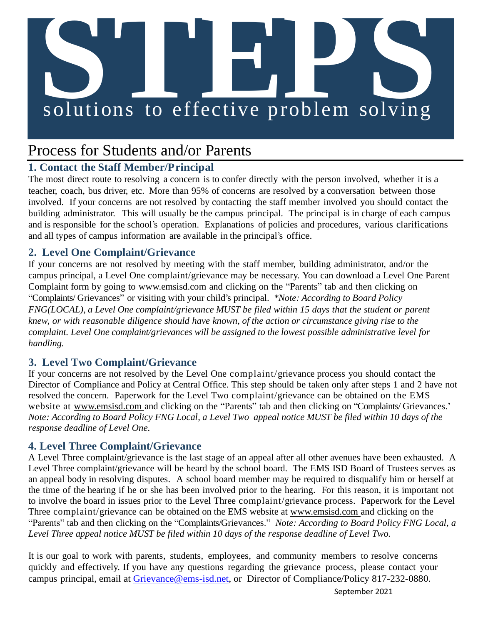# **S**<br> **Solutions** to effective problem solving

## Process for Students and/or Parents

### **1. Contact the Staff Member/Principal**

The most direct route to resolving a concern is to confer directly with the person involved, whether it is a teacher, coach, bus driver, etc. More than 95% of concerns are resolved by a conversation between those involved. If your concerns are not resolved by contacting the staff member involved you should contact the building administrator. This will usually be the campus principal. The principal is in charge of each campus and is responsible for the school's operation. Explanations of policies and procedures, various clarifications and all types of campus information are available in the principal's office.

### **2. Level One Complaint/Grievance**

If your concerns are not resolved by meeting with the staff member, building administrator, and/or the campus principal, a Level One complaint/grievance may be necessary. You can download a Level One Parent Complaint form by going to [www.emsisd.com](http://www.emsisd.com/) and clicking on the "Parents" tab and then clicking on "Complaints/ Grievances" or visiting with your child's principal. *\*Note: According to Board Policy FNG(LOCAL), a Level One complaint/grievance MUST be filed within 15 days that the student or parent knew, or with reasonable diligence should have known, of the action or circumstance giving rise to the complaint. Level One complaint/grievances will be assigned to the lowest possible administrative level for handling.*

### **3. Level Two Complaint/Grievance**

If your concerns are not resolved by the Level One complaint/grievance process you should contact the Director of Compliance and Policy at Central Office. This step should be taken only after steps 1 and 2 have not resolved the concern. Paperwork for the Level Two complaint/grievance can be obtained on the EMS website at [www.emsisd.com a](http://www.emsisd.com/)nd clicking on the "Parents" tab and then clicking on "Complaints/ Grievances." *Note: According to Board Policy FNG Local, a Level Two appeal notice MUST be filed within 10 days of the response deadline of Level One.*

### **4. Level Three Complaint/Grievance**

A Level Three complaint/grievance is the last stage of an appeal after all other avenues have been exhausted. A Level Three complaint/grievance will be heard by the school board. The EMS ISD Board of Trustees serves as an appeal body in resolving disputes. A school board member may be required to disqualify him or herself at the time of the hearing if he or she has been involved prior to the hearing. For this reason, it is important not to involve the board in issues prior to the Level Three complaint/grievance process. Paperwork for the Level Three complaint/grievance can be obtained on the EMS website at [www.emsisd.com a](http://www.emsisd.com/)nd clicking on the "Parents" tab and then clicking on the "Complaints/Grievances." *Note: According to Board Policy FNG Local, a Level Three appeal notice MUST be filed within 10 days of the response deadline of Level Two.*

It is our goal to work with parents, students, employees, and community members to resolve concerns quickly and effectively. If you have any questions regarding the grievance process, please contact your campus principal, email at [Grievance@ems-isd.net,](mailto:Grievance@ems-isd.net) or Director of Compliance/Policy 817-232-0880.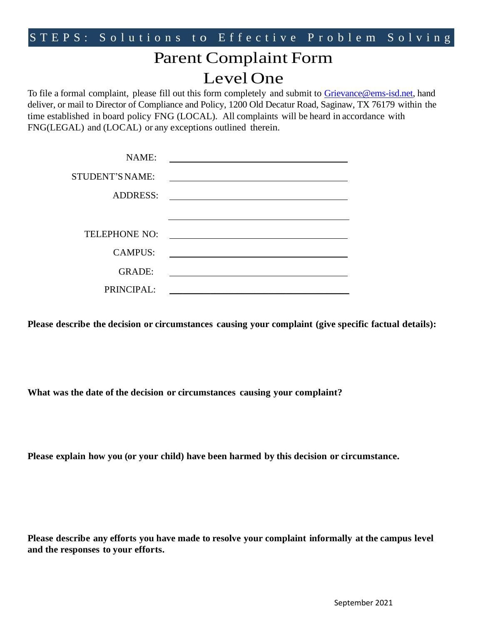# Parent Complaint Form Level One

To file a formal complaint, please fill out this form completely and submit to [Grievance@ems-isd.net,](mailto:Grievance@ems-isd.net) hand deliver, or mail to Director of Compliance and Policy, 1200 Old Decatur Road, Saginaw, TX 76179 within the time established in board policy FNG (LOCAL). All complaints will be heard in accordance with FNG(LEGAL) and (LOCAL) or any exceptions outlined therein.

| NAME:                  |                                                                                                                                                                                                                               |
|------------------------|-------------------------------------------------------------------------------------------------------------------------------------------------------------------------------------------------------------------------------|
| <b>STUDENT'S NAME:</b> | the control of the control of the control of the control of the control of the control of the control of the control of the control of the control of the control of the control of the control of the control of the control |
| <b>ADDRESS:</b>        | <u> 1989 - John Stein, Amerikaansk politiker (* 1958)</u>                                                                                                                                                                     |
|                        |                                                                                                                                                                                                                               |
| TELEPHONE NO:          | <u> 1989 - Andrea State Barbara, amerikan personal di sebagai personal di sebagai personal di sebagai personal d</u>                                                                                                          |
| <b>CAMPUS:</b>         |                                                                                                                                                                                                                               |
| <b>GRADE:</b>          |                                                                                                                                                                                                                               |
| PRINCIPAL:             |                                                                                                                                                                                                                               |

**Please describe the decision or circumstances causing your complaint (give specific factual details):**

**What was the date of the decision or circumstances causing your complaint?**

**Please explain how you (or your child) have been harmed by this decision or circumstance.**

**Please describe any efforts you have made to resolve your complaint informally at the campus level and the responses to your efforts.**